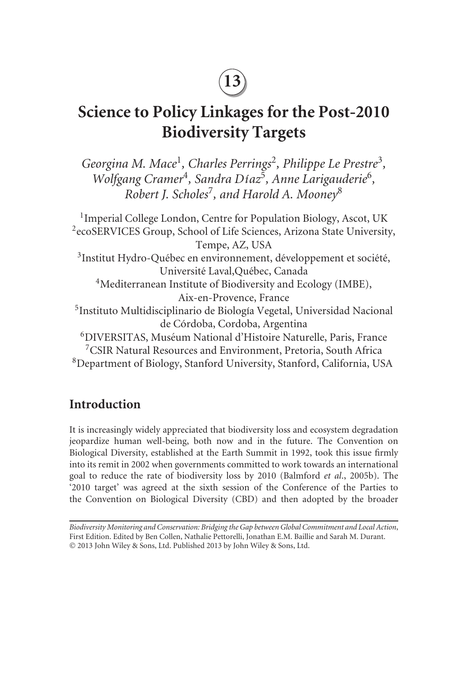# **Science to Policy Linkages for the Post-2010 Biodiversity Targets**

*Georgina M. Mace*1*, Charles Perrings*2*, Philippe Le Prestre*3*, Wolfgang Cramer*4*, Sandra D´ıaz*5*, Anne Larigauderie*6*, Robert J. Scholes*7*, and Harold A. Mooney*<sup>8</sup>

<sup>1</sup>Imperial College London, Centre for Population Biology, Ascot, UK 2ecoSERVICES Group, School of Life Sciences, Arizona State University, Tempe, AZ, USA  $3$ Institut Hydro-Québec en environnement, développement et société, Université Laval, Québec, Canada 4Mediterranean Institute of Biodiversity and Ecology (IMBE), Aix-en-Provence, France <sup>5</sup>Instituto Multidisciplinario de Biología Vegetal, Universidad Nacional de Córdoba, Cordoba, Argentina <sup>6</sup>DIVERSITAS, Muséum National d'Histoire Naturelle, Paris, France 7CSIR Natural Resources and Environment, Pretoria, South Africa 8Department of Biology, Stanford University, Stanford, California, USA

# **Introduction**

It is increasingly widely appreciated that biodiversity loss and ecosystem degradation jeopardize human well-being, both now and in the future. The Convention on Biological Diversity, established at the Earth Summit in 1992, took this issue firmly into its remit in 2002 when governments committed to work towards an international goal to reduce the rate of biodiversity loss by 2010 (Balmford *et al*., 2005b). The '2010 target' was agreed at the sixth session of the Conference of the Parties to the Convention on Biological Diversity (CBD) and then adopted by the broader

*Biodiversity Monitoring and Conservation: Bridging the Gap between Global Commitment and Local Action*, First Edition. Edited by Ben Collen, Nathalie Pettorelli, Jonathan E.M. Baillie and Sarah M. Durant. © 2013 John Wiley & Sons, Ltd. Published 2013 by John Wiley & Sons, Ltd.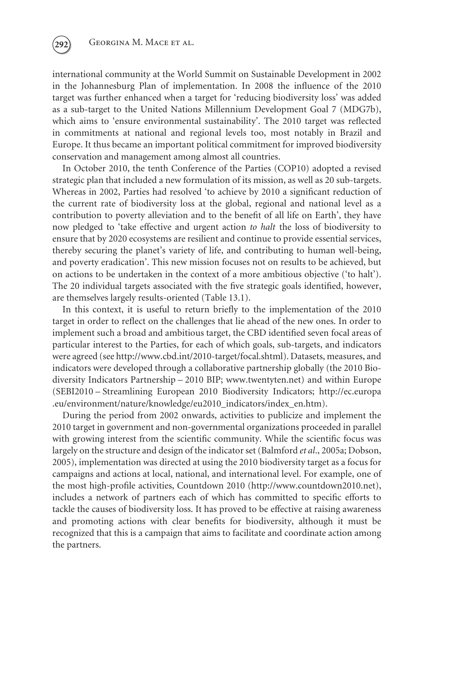

international community at the World Summit on Sustainable Development in 2002 in the Johannesburg Plan of implementation. In 2008 the influence of the 2010 target was further enhanced when a target for 'reducing biodiversity loss' was added as a sub-target to the United Nations Millennium Development Goal 7 (MDG7b), which aims to 'ensure environmental sustainability'. The 2010 target was reflected in commitments at national and regional levels too, most notably in Brazil and Europe. It thus became an important political commitment for improved biodiversity conservation and management among almost all countries.

In October 2010, the tenth Conference of the Parties (COP10) adopted a revised strategic plan that included a new formulation of its mission, as well as 20 sub-targets. Whereas in 2002, Parties had resolved 'to achieve by 2010 a significant reduction of the current rate of biodiversity loss at the global, regional and national level as a contribution to poverty alleviation and to the benefit of all life on Earth', they have now pledged to 'take effective and urgent action *to halt* the loss of biodiversity to ensure that by 2020 ecosystems are resilient and continue to provide essential services, thereby securing the planet's variety of life, and contributing to human well-being, and poverty eradication'. This new mission focuses not on results to be achieved, but on actions to be undertaken in the context of a more ambitious objective ('to halt'). The 20 individual targets associated with the five strategic goals identified, however, are themselves largely results-oriented (Table 13.1).

In this context, it is useful to return briefly to the implementation of the 2010 target in order to reflect on the challenges that lie ahead of the new ones. In order to implement such a broad and ambitious target, the CBD identified seven focal areas of particular interest to the Parties, for each of which goals, sub-targets, and indicators were agreed (see http://www.cbd.int/2010-target/focal.shtml). Datasets, measures, and indicators were developed through a collaborative partnership globally (the 2010 Biodiversity Indicators Partnership – 2010 BIP; www.twentyten.net) and within Europe (SEBI2010 – Streamlining European 2010 Biodiversity Indicators; http://ec.europa .eu/environment/nature/knowledge/eu2010\_indicators/index\_en.htm).

During the period from 2002 onwards, activities to publicize and implement the 2010 target in government and non-governmental organizations proceeded in parallel with growing interest from the scientific community. While the scientific focus was largely on the structure and design of the indicator set (Balmford *et al*., 2005a; Dobson, 2005), implementation was directed at using the 2010 biodiversity target as a focus for campaigns and actions at local, national, and international level. For example, one of the most high-profile activities, Countdown 2010 (http://www.countdown2010.net), includes a network of partners each of which has committed to specific efforts to tackle the causes of biodiversity loss. It has proved to be effective at raising awareness and promoting actions with clear benefits for biodiversity, although it must be recognized that this is a campaign that aims to facilitate and coordinate action among the partners.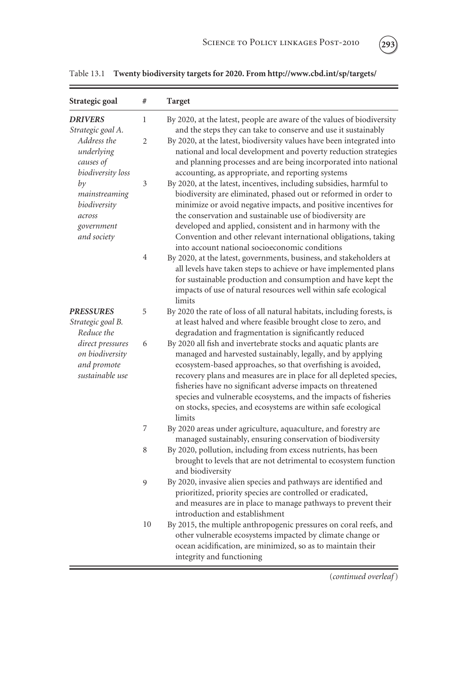

| Strategic goal                                                             | #              | <b>Target</b>                                                                                                                                                                                                                                                                                                                                                                                                                                                                    |
|----------------------------------------------------------------------------|----------------|----------------------------------------------------------------------------------------------------------------------------------------------------------------------------------------------------------------------------------------------------------------------------------------------------------------------------------------------------------------------------------------------------------------------------------------------------------------------------------|
| <b>DRIVERS</b>                                                             | 1              | By 2020, at the latest, people are aware of the values of biodiversity                                                                                                                                                                                                                                                                                                                                                                                                           |
| Strategic goal A.<br>Address the<br>underlying                             | $\overline{2}$ | and the steps they can take to conserve and use it sustainably<br>By 2020, at the latest, biodiversity values have been integrated into<br>national and local development and poverty reduction strategies                                                                                                                                                                                                                                                                       |
| causes of<br>biodiversity loss                                             |                | and planning processes and are being incorporated into national<br>accounting, as appropriate, and reporting systems                                                                                                                                                                                                                                                                                                                                                             |
| by<br>mainstreaming<br>biodiversity<br>across<br>government<br>and society | 3              | By 2020, at the latest, incentives, including subsidies, harmful to<br>biodiversity are eliminated, phased out or reformed in order to<br>minimize or avoid negative impacts, and positive incentives for<br>the conservation and sustainable use of biodiversity are<br>developed and applied, consistent and in harmony with the<br>Convention and other relevant international obligations, taking<br>into account national socioeconomic conditions                          |
|                                                                            | $\overline{4}$ | By 2020, at the latest, governments, business, and stakeholders at<br>all levels have taken steps to achieve or have implemented plans<br>for sustainable production and consumption and have kept the<br>impacts of use of natural resources well within safe ecological<br>limits                                                                                                                                                                                              |
| <b>PRESSURES</b><br>Strategic goal B.<br>Reduce the                        | 5              | By 2020 the rate of loss of all natural habitats, including forests, is<br>at least halved and where feasible brought close to zero, and<br>degradation and fragmentation is significantly reduced                                                                                                                                                                                                                                                                               |
| direct pressures<br>on biodiversity<br>and promote<br>sustainable use      | 6              | By 2020 all fish and invertebrate stocks and aquatic plants are<br>managed and harvested sustainably, legally, and by applying<br>ecosystem-based approaches, so that overfishing is avoided,<br>recovery plans and measures are in place for all depleted species,<br>fisheries have no significant adverse impacts on threatened<br>species and vulnerable ecosystems, and the impacts of fisheries<br>on stocks, species, and ecosystems are within safe ecological<br>limits |
|                                                                            | 7              | By 2020 areas under agriculture, aquaculture, and forestry are<br>managed sustainably, ensuring conservation of biodiversity                                                                                                                                                                                                                                                                                                                                                     |
|                                                                            | 8              | By 2020, pollution, including from excess nutrients, has been<br>brought to levels that are not detrimental to ecosystem function<br>and biodiversity                                                                                                                                                                                                                                                                                                                            |
|                                                                            | 9              | By 2020, invasive alien species and pathways are identified and<br>prioritized, priority species are controlled or eradicated,<br>and measures are in place to manage pathways to prevent their<br>introduction and establishment                                                                                                                                                                                                                                                |
|                                                                            | 10             | By 2015, the multiple anthropogenic pressures on coral reefs, and<br>other vulnerable ecosystems impacted by climate change or<br>ocean acidification, are minimized, so as to maintain their<br>integrity and functioning                                                                                                                                                                                                                                                       |

Table 13.1 **Twenty biodiversity targets for 2020. From http://www.cbd.int/sp/targets/**

(*continued overleaf*)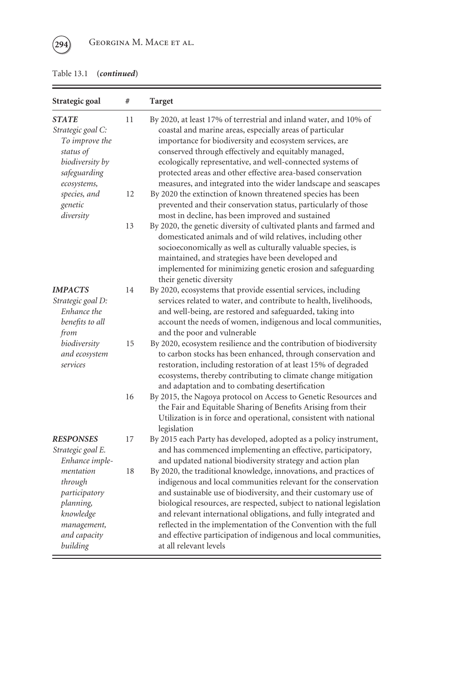#### Table 13.1 **(***continued***)**

| Strategic goal                                                                                                     | #  | Target                                                                                                                                                                                                                                                                                                                                                                                                                                                                                                              |
|--------------------------------------------------------------------------------------------------------------------|----|---------------------------------------------------------------------------------------------------------------------------------------------------------------------------------------------------------------------------------------------------------------------------------------------------------------------------------------------------------------------------------------------------------------------------------------------------------------------------------------------------------------------|
| <b>STATE</b><br>Strategic goal C:<br>To improve the<br>status of<br>biodiversity by<br>safeguarding<br>ecosystems, | 11 | By 2020, at least 17% of terrestrial and inland water, and 10% of<br>coastal and marine areas, especially areas of particular<br>importance for biodiversity and ecosystem services, are<br>conserved through effectively and equitably managed,<br>ecologically representative, and well-connected systems of<br>protected areas and other effective area-based conservation<br>measures, and integrated into the wider landscape and seascapes                                                                    |
| species, and<br>genetic<br>diversity                                                                               | 12 | By 2020 the extinction of known threatened species has been<br>prevented and their conservation status, particularly of those<br>most in decline, has been improved and sustained                                                                                                                                                                                                                                                                                                                                   |
|                                                                                                                    | 13 | By 2020, the genetic diversity of cultivated plants and farmed and<br>domesticated animals and of wild relatives, including other<br>socioeconomically as well as culturally valuable species, is<br>maintained, and strategies have been developed and<br>implemented for minimizing genetic erosion and safeguarding<br>their genetic diversity                                                                                                                                                                   |
| <b>IMPACTS</b><br>Strategic goal D:<br>Enhance the<br>benefits to all<br>from                                      | 14 | By 2020, ecosystems that provide essential services, including<br>services related to water, and contribute to health, livelihoods,<br>and well-being, are restored and safeguarded, taking into<br>account the needs of women, indigenous and local communities,<br>and the poor and vulnerable                                                                                                                                                                                                                    |
| biodiversity<br>and ecosystem<br>services                                                                          | 15 | By 2020, ecosystem resilience and the contribution of biodiversity<br>to carbon stocks has been enhanced, through conservation and<br>restoration, including restoration of at least 15% of degraded<br>ecosystems, thereby contributing to climate change mitigation<br>and adaptation and to combating desertification                                                                                                                                                                                            |
|                                                                                                                    | 16 | By 2015, the Nagoya protocol on Access to Genetic Resources and<br>the Fair and Equitable Sharing of Benefits Arising from their<br>Utilization is in force and operational, consistent with national<br>legislation                                                                                                                                                                                                                                                                                                |
| <b>RESPONSES</b><br>Strategic goal E.<br>Enhance imple-                                                            | 17 | By 2015 each Party has developed, adopted as a policy instrument,<br>and has commenced implementing an effective, participatory,<br>and updated national biodiversity strategy and action plan                                                                                                                                                                                                                                                                                                                      |
| mentation<br>through<br>participatory<br>planning,<br>knowledge<br>management,<br>and capacity<br>building         | 18 | By 2020, the traditional knowledge, innovations, and practices of<br>indigenous and local communities relevant for the conservation<br>and sustainable use of biodiversity, and their customary use of<br>biological resources, are respected, subject to national legislation<br>and relevant international obligations, and fully integrated and<br>reflected in the implementation of the Convention with the full<br>and effective participation of indigenous and local communities,<br>at all relevant levels |

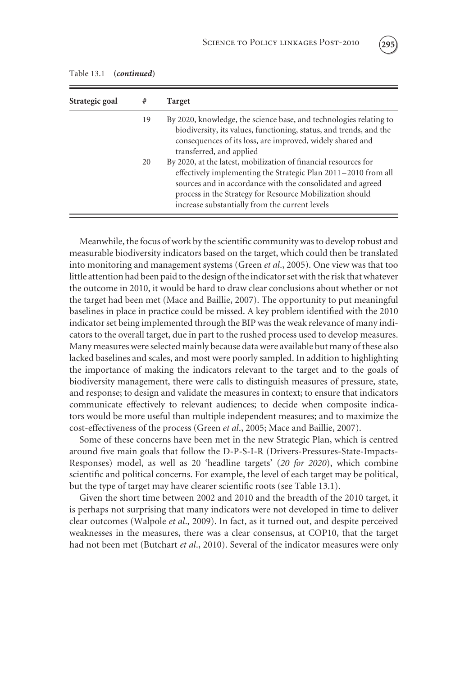| Strategic goal | #  | Target                                                                                                                                                                                                                                                                                                        |
|----------------|----|---------------------------------------------------------------------------------------------------------------------------------------------------------------------------------------------------------------------------------------------------------------------------------------------------------------|
|                | 19 | By 2020, knowledge, the science base, and technologies relating to<br>biodiversity, its values, functioning, status, and trends, and the<br>consequences of its loss, are improved, widely shared and<br>transferred, and applied                                                                             |
|                | 20 | By 2020, at the latest, mobilization of financial resources for<br>effectively implementing the Strategic Plan 2011-2010 from all<br>sources and in accordance with the consolidated and agreed<br>process in the Strategy for Resource Mobilization should<br>increase substantially from the current levels |

Meanwhile, the focus of work by the scientific community was to develop robust and measurable biodiversity indicators based on the target, which could then be translated into monitoring and management systems (Green *et al*., 2005). One view was that too little attention had been paid to the design of the indicator set with the risk that whatever the outcome in 2010, it would be hard to draw clear conclusions about whether or not the target had been met (Mace and Baillie, 2007). The opportunity to put meaningful baselines in place in practice could be missed. A key problem identified with the 2010 indicator set being implemented through the BIP was the weak relevance of many indicators to the overall target, due in part to the rushed process used to develop measures. Many measures were selected mainly because data were available but many of these also lacked baselines and scales, and most were poorly sampled. In addition to highlighting the importance of making the indicators relevant to the target and to the goals of biodiversity management, there were calls to distinguish measures of pressure, state, and response; to design and validate the measures in context; to ensure that indicators communicate effectively to relevant audiences; to decide when composite indicators would be more useful than multiple independent measures; and to maximize the cost-effectiveness of the process (Green *et al*., 2005; Mace and Baillie, 2007).

Some of these concerns have been met in the new Strategic Plan, which is centred around five main goals that follow the D-P-S-I-R (Drivers-Pressures-State-Impacts-Responses) model, as well as 20 'headline targets' (*20 for 2020*), which combine scientific and political concerns. For example, the level of each target may be political, but the type of target may have clearer scientific roots (see Table 13.1).

Given the short time between 2002 and 2010 and the breadth of the 2010 target, it is perhaps not surprising that many indicators were not developed in time to deliver clear outcomes (Walpole *et al*., 2009). In fact, as it turned out, and despite perceived weaknesses in the measures, there was a clear consensus, at COP10, that the target had not been met (Butchart *et al*., 2010). Several of the indicator measures were only

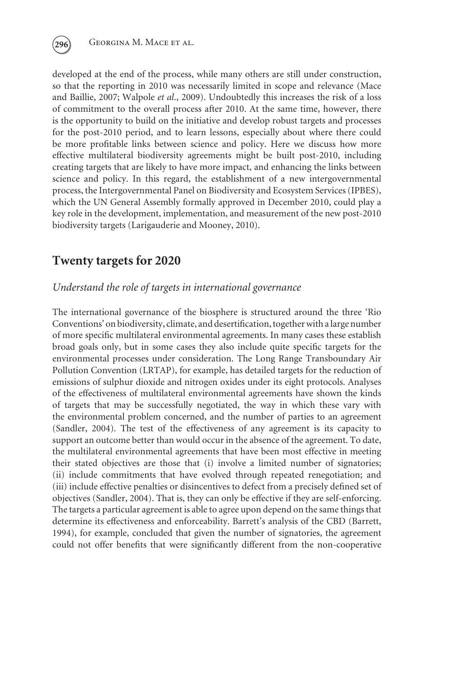

developed at the end of the process, while many others are still under construction, so that the reporting in 2010 was necessarily limited in scope and relevance (Mace and Baillie, 2007; Walpole *et al*., 2009). Undoubtedly this increases the risk of a loss of commitment to the overall process after 2010. At the same time, however, there is the opportunity to build on the initiative and develop robust targets and processes for the post-2010 period, and to learn lessons, especially about where there could be more profitable links between science and policy. Here we discuss how more effective multilateral biodiversity agreements might be built post-2010, including creating targets that are likely to have more impact, and enhancing the links between science and policy. In this regard, the establishment of a new intergovernmental process, the Intergovernmental Panel on Biodiversity and Ecosystem Services (IPBES), which the UN General Assembly formally approved in December 2010, could play a key role in the development, implementation, and measurement of the new post-2010 biodiversity targets (Larigauderie and Mooney, 2010).

# **Twenty targets for 2020**

### *Understand the role of targets in international governance*

The international governance of the biosphere is structured around the three 'Rio Conventions' on biodiversity, climate, and desertification, together with a large number of more specific multilateral environmental agreements. In many cases these establish broad goals only, but in some cases they also include quite specific targets for the environmental processes under consideration. The Long Range Transboundary Air Pollution Convention (LRTAP), for example, has detailed targets for the reduction of emissions of sulphur dioxide and nitrogen oxides under its eight protocols. Analyses of the effectiveness of multilateral environmental agreements have shown the kinds of targets that may be successfully negotiated, the way in which these vary with the environmental problem concerned, and the number of parties to an agreement (Sandler, 2004). The test of the effectiveness of any agreement is its capacity to support an outcome better than would occur in the absence of the agreement. To date, the multilateral environmental agreements that have been most effective in meeting their stated objectives are those that (i) involve a limited number of signatories; (ii) include commitments that have evolved through repeated renegotiation; and (iii) include effective penalties or disincentives to defect from a precisely defined set of objectives (Sandler, 2004). That is, they can only be effective if they are self-enforcing. The targets a particular agreement is able to agree upon depend on the same things that determine its effectiveness and enforceability. Barrett's analysis of the CBD (Barrett, 1994), for example, concluded that given the number of signatories, the agreement could not offer benefits that were significantly different from the non-cooperative

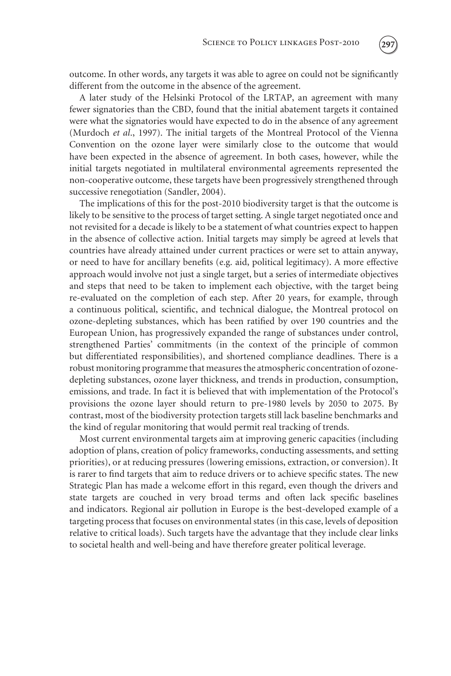

outcome. In other words, any targets it was able to agree on could not be significantly different from the outcome in the absence of the agreement.

A later study of the Helsinki Protocol of the LRTAP, an agreement with many fewer signatories than the CBD, found that the initial abatement targets it contained were what the signatories would have expected to do in the absence of any agreement (Murdoch *et al*., 1997). The initial targets of the Montreal Protocol of the Vienna Convention on the ozone layer were similarly close to the outcome that would have been expected in the absence of agreement. In both cases, however, while the initial targets negotiated in multilateral environmental agreements represented the non-cooperative outcome, these targets have been progressively strengthened through successive renegotiation (Sandler, 2004).

The implications of this for the post-2010 biodiversity target is that the outcome is likely to be sensitive to the process of target setting. A single target negotiated once and not revisited for a decade is likely to be a statement of what countries expect to happen in the absence of collective action. Initial targets may simply be agreed at levels that countries have already attained under current practices or were set to attain anyway, or need to have for ancillary benefits (e.g. aid, political legitimacy). A more effective approach would involve not just a single target, but a series of intermediate objectives and steps that need to be taken to implement each objective, with the target being re-evaluated on the completion of each step. After 20 years, for example, through a continuous political, scientific, and technical dialogue, the Montreal protocol on ozone-depleting substances, which has been ratified by over 190 countries and the European Union, has progressively expanded the range of substances under control, strengthened Parties' commitments (in the context of the principle of common but differentiated responsibilities), and shortened compliance deadlines. There is a robust monitoring programme that measures the atmospheric concentration of ozonedepleting substances, ozone layer thickness, and trends in production, consumption, emissions, and trade. In fact it is believed that with implementation of the Protocol's provisions the ozone layer should return to pre-1980 levels by 2050 to 2075. By contrast, most of the biodiversity protection targets still lack baseline benchmarks and the kind of regular monitoring that would permit real tracking of trends.

Most current environmental targets aim at improving generic capacities (including adoption of plans, creation of policy frameworks, conducting assessments, and setting priorities), or at reducing pressures (lowering emissions, extraction, or conversion). It is rarer to find targets that aim to reduce drivers or to achieve specific states. The new Strategic Plan has made a welcome effort in this regard, even though the drivers and state targets are couched in very broad terms and often lack specific baselines and indicators. Regional air pollution in Europe is the best-developed example of a targeting process that focuses on environmental states (in this case, levels of deposition relative to critical loads). Such targets have the advantage that they include clear links to societal health and well-being and have therefore greater political leverage.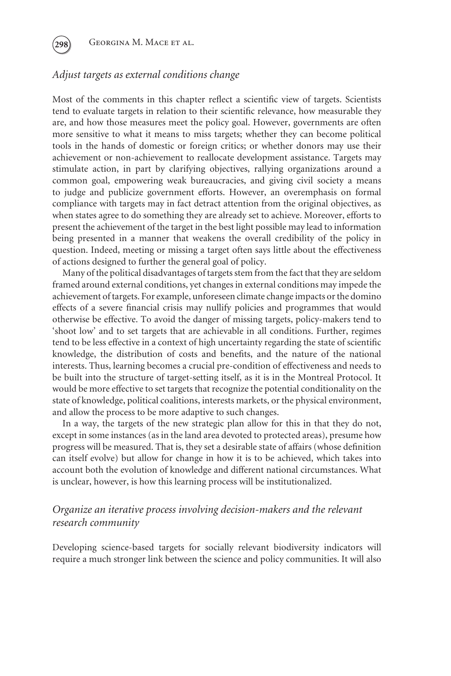

**298** Georgina M. Mace et al.

#### *Adjust targets as external conditions change*

Most of the comments in this chapter reflect a scientific view of targets. Scientists tend to evaluate targets in relation to their scientific relevance, how measurable they are, and how those measures meet the policy goal. However, governments are often more sensitive to what it means to miss targets; whether they can become political tools in the hands of domestic or foreign critics; or whether donors may use their achievement or non-achievement to reallocate development assistance. Targets may stimulate action, in part by clarifying objectives, rallying organizations around a common goal, empowering weak bureaucracies, and giving civil society a means to judge and publicize government efforts. However, an overemphasis on formal compliance with targets may in fact detract attention from the original objectives, as when states agree to do something they are already set to achieve. Moreover, efforts to present the achievement of the target in the best light possible may lead to information being presented in a manner that weakens the overall credibility of the policy in question. Indeed, meeting or missing a target often says little about the effectiveness of actions designed to further the general goal of policy.

Many of the political disadvantages of targets stem from the fact that they are seldom framed around external conditions, yet changes in external conditions may impede the achievement of targets. For example, unforeseen climate change impacts or the domino effects of a severe financial crisis may nullify policies and programmes that would otherwise be effective. To avoid the danger of missing targets, policy-makers tend to 'shoot low' and to set targets that are achievable in all conditions. Further, regimes tend to be less effective in a context of high uncertainty regarding the state of scientific knowledge, the distribution of costs and benefits, and the nature of the national interests. Thus, learning becomes a crucial pre-condition of effectiveness and needs to be built into the structure of target-setting itself, as it is in the Montreal Protocol. It would be more effective to set targets that recognize the potential conditionality on the state of knowledge, political coalitions, interests markets, or the physical environment, and allow the process to be more adaptive to such changes.

In a way, the targets of the new strategic plan allow for this in that they do not, except in some instances (as in the land area devoted to protected areas), presume how progress will be measured. That is, they set a desirable state of affairs (whose definition can itself evolve) but allow for change in how it is to be achieved, which takes into account both the evolution of knowledge and different national circumstances. What is unclear, however, is how this learning process will be institutionalized.

### *Organize an iterative process involving decision-makers and the relevant research community*

Developing science-based targets for socially relevant biodiversity indicators will require a much stronger link between the science and policy communities. It will also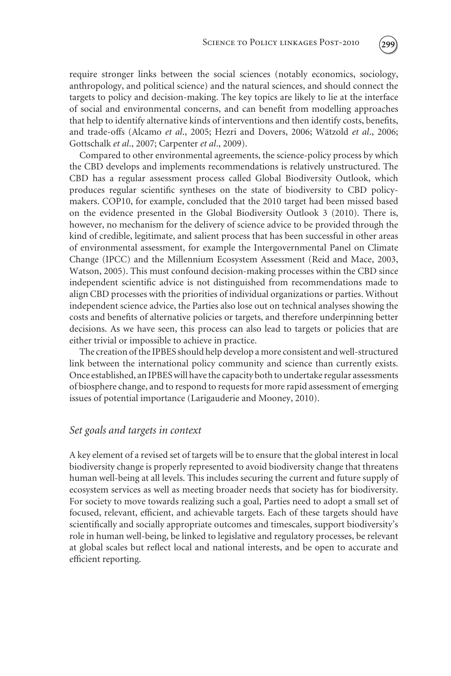

require stronger links between the social sciences (notably economics, sociology, anthropology, and political science) and the natural sciences, and should connect the targets to policy and decision-making. The key topics are likely to lie at the interface of social and environmental concerns, and can benefit from modelling approaches that help to identify alternative kinds of interventions and then identify costs, benefits, and trade-offs (Alcamo *et al.*, 2005; Hezri and Dovers, 2006; Wätzold *et al.*, 2006; Gottschalk *et al*., 2007; Carpenter *et al*., 2009).

Compared to other environmental agreements, the science-policy process by which the CBD develops and implements recommendations is relatively unstructured. The CBD has a regular assessment process called Global Biodiversity Outlook, which produces regular scientific syntheses on the state of biodiversity to CBD policymakers. COP10, for example, concluded that the 2010 target had been missed based on the evidence presented in the Global Biodiversity Outlook 3 (2010). There is, however, no mechanism for the delivery of science advice to be provided through the kind of credible, legitimate, and salient process that has been successful in other areas of environmental assessment, for example the Intergovernmental Panel on Climate Change (IPCC) and the Millennium Ecosystem Assessment (Reid and Mace, 2003, Watson, 2005). This must confound decision-making processes within the CBD since independent scientific advice is not distinguished from recommendations made to align CBD processes with the priorities of individual organizations or parties. Without independent science advice, the Parties also lose out on technical analyses showing the costs and benefits of alternative policies or targets, and therefore underpinning better decisions. As we have seen, this process can also lead to targets or policies that are either trivial or impossible to achieve in practice.

The creation of the IPBES should help develop a more consistent and well-structured link between the international policy community and science than currently exists. Once established, an IPBES will have the capacity both to undertake regular assessments of biosphere change, and to respond to requests for more rapid assessment of emerging issues of potential importance (Larigauderie and Mooney, 2010).

#### *Set goals and targets in context*

A key element of a revised set of targets will be to ensure that the global interest in local biodiversity change is properly represented to avoid biodiversity change that threatens human well-being at all levels. This includes securing the current and future supply of ecosystem services as well as meeting broader needs that society has for biodiversity. For society to move towards realizing such a goal, Parties need to adopt a small set of focused, relevant, efficient, and achievable targets. Each of these targets should have scientifically and socially appropriate outcomes and timescales, support biodiversity's role in human well-being, be linked to legislative and regulatory processes, be relevant at global scales but reflect local and national interests, and be open to accurate and efficient reporting.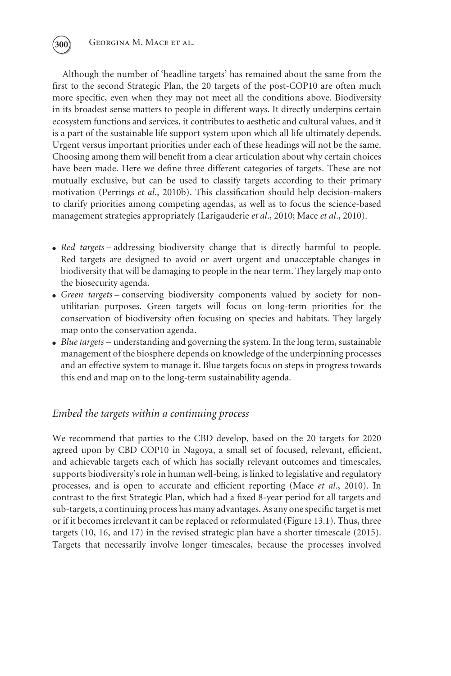

Although the number of 'headline targets' has remained about the same from the first to the second Strategic Plan, the 20 targets of the post-COP10 are often much more specific, even when they may not meet all the conditions above. Biodiversity in its broadest sense matters to people in different ways. It directly underpins certain ecosystem functions and services, it contributes to aesthetic and cultural values, and it is a part of the sustainable life support system upon which all life ultimately depends. Urgent versus important priorities under each of these headings will not be the same. Choosing among them will benefit from a clear articulation about why certain choices have been made. Here we define three different categories of targets. These are not mutually exclusive, but can be used to classify targets according to their primary motivation (Perrings *et al*., 2010b). This classification should help decision-makers to clarify priorities among competing agendas, as well as to focus the science-based management strategies appropriately (Larigauderie *et al*., 2010; Mace *et al*., 2010).

- *Red targets* addressing biodiversity change that is directly harmful to people. Red targets are designed to avoid or avert urgent and unacceptable changes in biodiversity that will be damaging to people in the near term. They largely map onto the biosecurity agenda.
- *Green targets* conserving biodiversity components valued by society for nonutilitarian purposes. Green targets will focus on long-term priorities for the conservation of biodiversity often focusing on species and habitats. They largely map onto the conservation agenda.
- *Blue targets* understanding and governing the system. In the long term, sustainable management of the biosphere depends on knowledge of the underpinning processes and an effective system to manage it. Blue targets focus on steps in progress towards this end and map on to the long-term sustainability agenda.

#### *Embed the targets within a continuing process*

We recommend that parties to the CBD develop, based on the 20 targets for 2020 agreed upon by CBD COP10 in Nagoya, a small set of focused, relevant, efficient, and achievable targets each of which has socially relevant outcomes and timescales, supports biodiversity's role in human well-being, is linked to legislative and regulatory processes, and is open to accurate and efficient reporting (Mace *et al*., 2010). In contrast to the first Strategic Plan, which had a fixed 8-year period for all targets and sub-targets, a continuing process has many advantages. As any one specific target is met or if it becomes irrelevant it can be replaced or reformulated (Figure 13.1). Thus, three targets (10, 16, and 17) in the revised strategic plan have a shorter timescale (2015). Targets that necessarily involve longer timescales, because the processes involved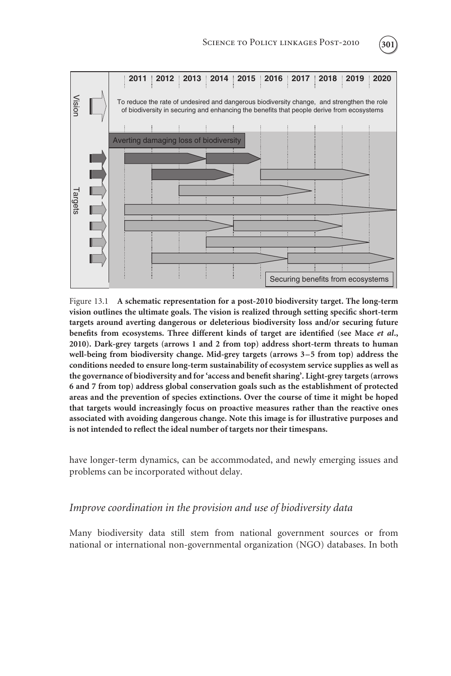



Figure 13.1 **A schematic representation for a post-2010 biodiversity target. The long-term vision outlines the ultimate goals. The vision is realized through setting specific short-term targets around averting dangerous or deleterious biodiversity loss and/or securing future benefits from ecosystems. Three different kinds of target are identified (see Mace** *et al***., 2010). Dark-grey targets (arrows 1 and 2 from top) address short-term threats to human well-being from biodiversity change. Mid-grey targets (arrows 3–5 from top) address the conditions needed to ensure long-term sustainability of ecosystem service supplies as well as the governance of biodiversity and for 'access and benefit sharing'. Light-grey targets (arrows 6 and 7 from top) address global conservation goals such as the establishment of protected areas and the prevention of species extinctions. Over the course of time it might be hoped that targets would increasingly focus on proactive measures rather than the reactive ones associated with avoiding dangerous change. Note this image is for illustrative purposes and is not intended to reflect the ideal number of targets nor their timespans.**

have longer-term dynamics, can be accommodated, and newly emerging issues and problems can be incorporated without delay.

#### *Improve coordination in the provision and use of biodiversity data*

Many biodiversity data still stem from national government sources or from national or international non-governmental organization (NGO) databases. In both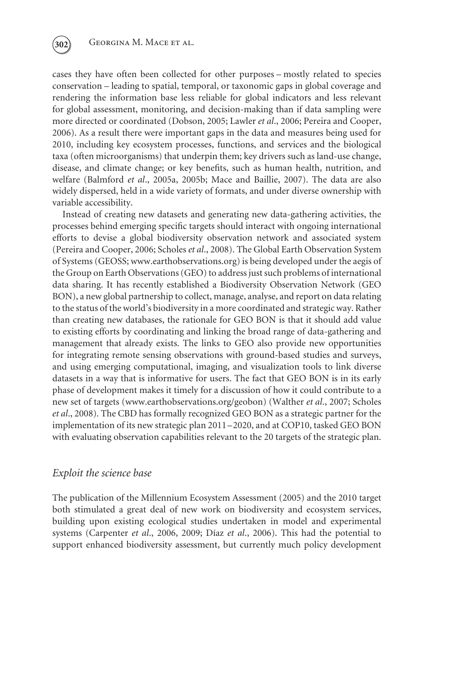

cases they have often been collected for other purposes – mostly related to species conservation – leading to spatial, temporal, or taxonomic gaps in global coverage and rendering the information base less reliable for global indicators and less relevant for global assessment, monitoring, and decision-making than if data sampling were more directed or coordinated (Dobson, 2005; Lawler *et al*., 2006; Pereira and Cooper, 2006). As a result there were important gaps in the data and measures being used for 2010, including key ecosystem processes, functions, and services and the biological taxa (often microorganisms) that underpin them; key drivers such as land-use change, disease, and climate change; or key benefits, such as human health, nutrition, and welfare (Balmford *et al*., 2005a, 2005b; Mace and Baillie, 2007). The data are also widely dispersed, held in a wide variety of formats, and under diverse ownership with variable accessibility.

Instead of creating new datasets and generating new data-gathering activities, the processes behind emerging specific targets should interact with ongoing international efforts to devise a global biodiversity observation network and associated system (Pereira and Cooper, 2006; Scholes *et al*., 2008). The Global Earth Observation System of Systems (GEOSS; www.earthobservations.org) is being developed under the aegis of the Group on Earth Observations (GEO) to address just such problems of international data sharing. It has recently established a Biodiversity Observation Network (GEO BON), a new global partnership to collect, manage, analyse, and report on data relating to the status of the world's biodiversity in a more coordinated and strategic way. Rather than creating new databases, the rationale for GEO BON is that it should add value to existing efforts by coordinating and linking the broad range of data-gathering and management that already exists. The links to GEO also provide new opportunities for integrating remote sensing observations with ground-based studies and surveys, and using emerging computational, imaging, and visualization tools to link diverse datasets in a way that is informative for users. The fact that GEO BON is in its early phase of development makes it timely for a discussion of how it could contribute to a new set of targets (www.earthobservations.org/geobon) (Walther *et al*., 2007; Scholes *et al*., 2008). The CBD has formally recognized GEO BON as a strategic partner for the implementation of its new strategic plan 2011–2020, and at COP10, tasked GEO BON with evaluating observation capabilities relevant to the 20 targets of the strategic plan.

#### *Exploit the science base*

The publication of the Millennium Ecosystem Assessment (2005) and the 2010 target both stimulated a great deal of new work on biodiversity and ecosystem services, building upon existing ecological studies undertaken in model and experimental systems (Carpenter *et al.*, 2006, 2009; Díaz *et al.*, 2006). This had the potential to support enhanced biodiversity assessment, but currently much policy development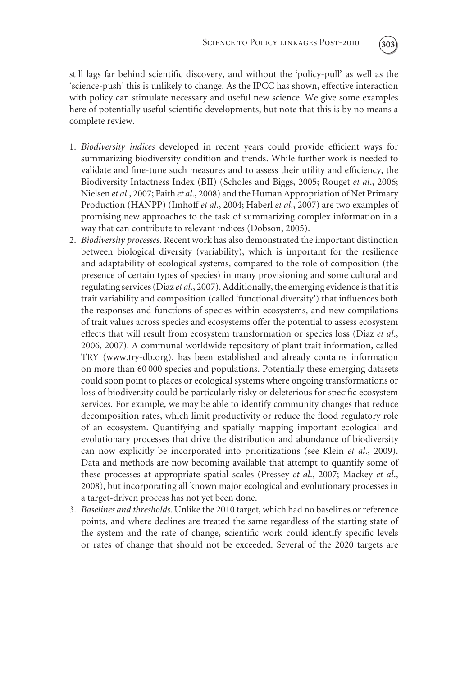

still lags far behind scientific discovery, and without the 'policy-pull' as well as the 'science-push' this is unlikely to change. As the IPCC has shown, effective interaction with policy can stimulate necessary and useful new science. We give some examples here of potentially useful scientific developments, but note that this is by no means a complete review.

- 1. *Biodiversity indices* developed in recent years could provide efficient ways for summarizing biodiversity condition and trends. While further work is needed to validate and fine-tune such measures and to assess their utility and efficiency, the Biodiversity Intactness Index (BII) (Scholes and Biggs, 2005; Rouget *et al*., 2006; Nielsen *et al*., 2007; Faith *et al*., 2008) and the Human Appropriation of Net Primary Production (HANPP) (Imhoff *et al*., 2004; Haberl *et al*., 2007) are two examples of promising new approaches to the task of summarizing complex information in a way that can contribute to relevant indices (Dobson, 2005).
- 2. *Biodiversity processes*. Recent work has also demonstrated the important distinction between biological diversity (variability), which is important for the resilience and adaptability of ecological systems, compared to the role of composition (the presence of certain types of species) in many provisioning and some cultural and regulating services (Diaz *et al*., 2007). Additionally, the emerging evidence is that it is trait variability and composition (called 'functional diversity') that influences both the responses and functions of species within ecosystems, and new compilations of trait values across species and ecosystems offer the potential to assess ecosystem effects that will result from ecosystem transformation or species loss (Diaz *et al*., 2006, 2007). A communal worldwide repository of plant trait information, called TRY (www.try-db.org), has been established and already contains information on more than 60 000 species and populations. Potentially these emerging datasets could soon point to places or ecological systems where ongoing transformations or loss of biodiversity could be particularly risky or deleterious for specific ecosystem services. For example, we may be able to identify community changes that reduce decomposition rates, which limit productivity or reduce the flood regulatory role of an ecosystem. Quantifying and spatially mapping important ecological and evolutionary processes that drive the distribution and abundance of biodiversity can now explicitly be incorporated into prioritizations (see Klein *et al*., 2009). Data and methods are now becoming available that attempt to quantify some of these processes at appropriate spatial scales (Pressey *et al*., 2007; Mackey *et al*., 2008), but incorporating all known major ecological and evolutionary processes in a target-driven process has not yet been done.
- 3. *Baselines and thresholds*. Unlike the 2010 target, which had no baselines or reference points, and where declines are treated the same regardless of the starting state of the system and the rate of change, scientific work could identify specific levels or rates of change that should not be exceeded. Several of the 2020 targets are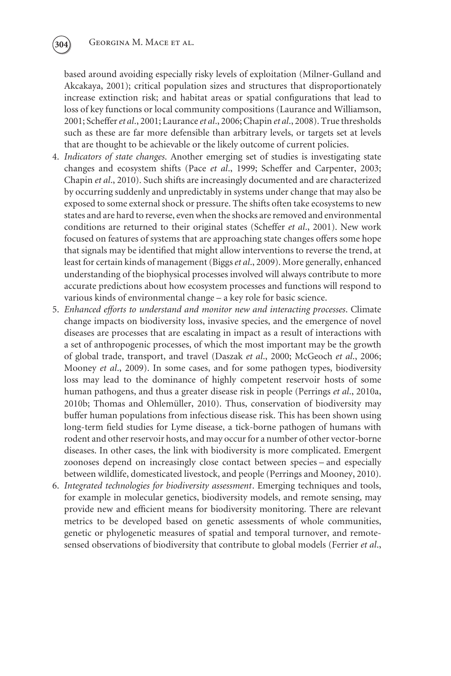

based around avoiding especially risky levels of exploitation (Milner-Gulland and Akcakaya, 2001); critical population sizes and structures that disproportionately increase extinction risk; and habitat areas or spatial configurations that lead to loss of key functions or local community compositions (Laurance and Williamson, 2001; Scheffer*et al*., 2001; Laurance *et al*., 2006; Chapin *et al*., 2008). True thresholds such as these are far more defensible than arbitrary levels, or targets set at levels that are thought to be achievable or the likely outcome of current policies.

- 4. *Indicators of state changes*. Another emerging set of studies is investigating state changes and ecosystem shifts (Pace *et al*., 1999; Scheffer and Carpenter, 2003; Chapin *et al*., 2010). Such shifts are increasingly documented and are characterized by occurring suddenly and unpredictably in systems under change that may also be exposed to some external shock or pressure. The shifts often take ecosystems to new states and are hard to reverse, even when the shocks are removed and environmental conditions are returned to their original states (Scheffer *et al*., 2001). New work focused on features of systems that are approaching state changes offers some hope that signals may be identified that might allow interventions to reverse the trend, at least for certain kinds of management (Biggs*et al*., 2009). More generally, enhanced understanding of the biophysical processes involved will always contribute to more accurate predictions about how ecosystem processes and functions will respond to various kinds of environmental change – a key role for basic science.
- 5. *Enhanced efforts to understand and monitor new and interacting processes*. Climate change impacts on biodiversity loss, invasive species, and the emergence of novel diseases are processes that are escalating in impact as a result of interactions with a set of anthropogenic processes, of which the most important may be the growth of global trade, transport, and travel (Daszak *et al*., 2000; McGeoch *et al*., 2006; Mooney *et al*., 2009). In some cases, and for some pathogen types, biodiversity loss may lead to the dominance of highly competent reservoir hosts of some human pathogens, and thus a greater disease risk in people (Perrings *et al*., 2010a, 2010b; Thomas and Ohlemuller, 2010). Thus, conservation of biodiversity may ¨ buffer human populations from infectious disease risk. This has been shown using long-term field studies for Lyme disease, a tick-borne pathogen of humans with rodent and other reservoir hosts, and may occur for a number of other vector-borne diseases. In other cases, the link with biodiversity is more complicated. Emergent zoonoses depend on increasingly close contact between species – and especially between wildlife, domesticated livestock, and people (Perrings and Mooney, 2010).
- 6. *Integrated technologies for biodiversity assessment*. Emerging techniques and tools, for example in molecular genetics, biodiversity models, and remote sensing, may provide new and efficient means for biodiversity monitoring. There are relevant metrics to be developed based on genetic assessments of whole communities, genetic or phylogenetic measures of spatial and temporal turnover, and remotesensed observations of biodiversity that contribute to global models (Ferrier *et al*.,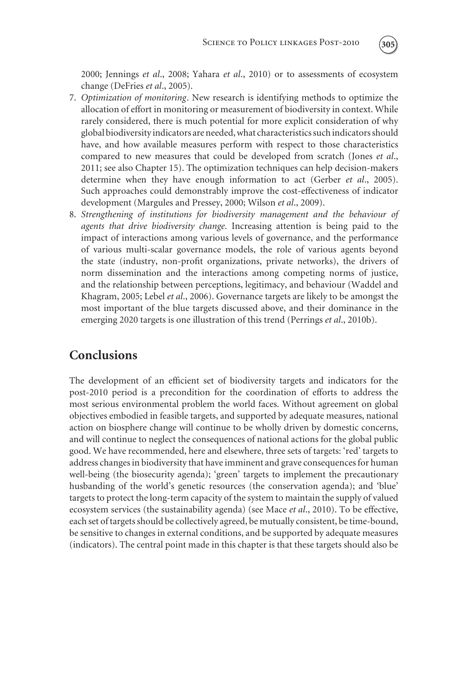

2000; Jennings *et al*., 2008; Yahara *et al*., 2010) or to assessments of ecosystem change (DeFries *et al*., 2005).

- 7. *Optimization of monitoring*. New research is identifying methods to optimize the allocation of effort in monitoring or measurement of biodiversity in context. While rarely considered, there is much potential for more explicit consideration of why global biodiversity indicators are needed, what characteristics such indicators should have, and how available measures perform with respect to those characteristics compared to new measures that could be developed from scratch (Jones *et al*., 2011; see also Chapter 15). The optimization techniques can help decision-makers determine when they have enough information to act (Gerber *et al*., 2005). Such approaches could demonstrably improve the cost-effectiveness of indicator development (Margules and Pressey, 2000; Wilson *et al*., 2009).
- 8. *Strengthening of institutions for biodiversity management and the behaviour of agents that drive biodiversity change*. Increasing attention is being paid to the impact of interactions among various levels of governance, and the performance of various multi-scalar governance models, the role of various agents beyond the state (industry, non-profit organizations, private networks), the drivers of norm dissemination and the interactions among competing norms of justice, and the relationship between perceptions, legitimacy, and behaviour (Waddel and Khagram, 2005; Lebel *et al*., 2006). Governance targets are likely to be amongst the most important of the blue targets discussed above, and their dominance in the emerging 2020 targets is one illustration of this trend (Perrings *et al*., 2010b).

# **Conclusions**

The development of an efficient set of biodiversity targets and indicators for the post-2010 period is a precondition for the coordination of efforts to address the most serious environmental problem the world faces. Without agreement on global objectives embodied in feasible targets, and supported by adequate measures, national action on biosphere change will continue to be wholly driven by domestic concerns, and will continue to neglect the consequences of national actions for the global public good. We have recommended, here and elsewhere, three sets of targets: 'red' targets to address changes in biodiversity that have imminent and grave consequences for human well-being (the biosecurity agenda); 'green' targets to implement the precautionary husbanding of the world's genetic resources (the conservation agenda); and 'blue' targets to protect the long-term capacity of the system to maintain the supply of valued ecosystem services (the sustainability agenda) (see Mace *et al*., 2010). To be effective, each set of targets should be collectively agreed, be mutually consistent, be time-bound, be sensitive to changes in external conditions, and be supported by adequate measures (indicators). The central point made in this chapter is that these targets should also be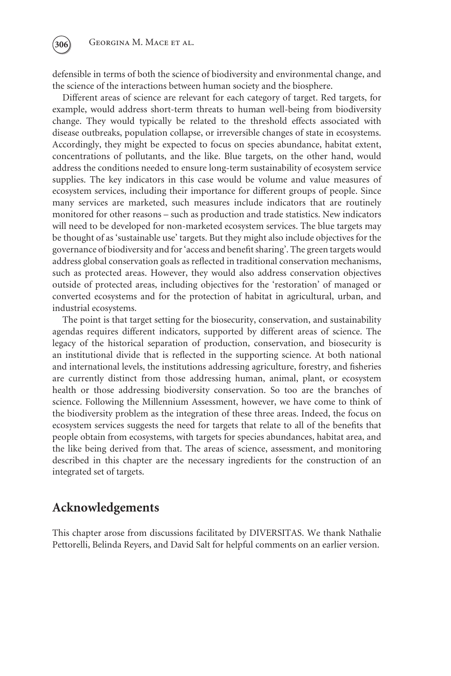

defensible in terms of both the science of biodiversity and environmental change, and the science of the interactions between human society and the biosphere.

Different areas of science are relevant for each category of target. Red targets, for example, would address short-term threats to human well-being from biodiversity change. They would typically be related to the threshold effects associated with disease outbreaks, population collapse, or irreversible changes of state in ecosystems. Accordingly, they might be expected to focus on species abundance, habitat extent, concentrations of pollutants, and the like. Blue targets, on the other hand, would address the conditions needed to ensure long-term sustainability of ecosystem service supplies. The key indicators in this case would be volume and value measures of ecosystem services, including their importance for different groups of people. Since many services are marketed, such measures include indicators that are routinely monitored for other reasons – such as production and trade statistics. New indicators will need to be developed for non-marketed ecosystem services. The blue targets may be thought of as 'sustainable use' targets. But they might also include objectives for the governance of biodiversity and for 'access and benefit sharing'. The green targets would address global conservation goals as reflected in traditional conservation mechanisms, such as protected areas. However, they would also address conservation objectives outside of protected areas, including objectives for the 'restoration' of managed or converted ecosystems and for the protection of habitat in agricultural, urban, and industrial ecosystems.

The point is that target setting for the biosecurity, conservation, and sustainability agendas requires different indicators, supported by different areas of science. The legacy of the historical separation of production, conservation, and biosecurity is an institutional divide that is reflected in the supporting science. At both national and international levels, the institutions addressing agriculture, forestry, and fisheries are currently distinct from those addressing human, animal, plant, or ecosystem health or those addressing biodiversity conservation. So too are the branches of science. Following the Millennium Assessment, however, we have come to think of the biodiversity problem as the integration of these three areas. Indeed, the focus on ecosystem services suggests the need for targets that relate to all of the benefits that people obtain from ecosystems, with targets for species abundances, habitat area, and the like being derived from that. The areas of science, assessment, and monitoring described in this chapter are the necessary ingredients for the construction of an integrated set of targets.

## **Acknowledgements**

This chapter arose from discussions facilitated by DIVERSITAS. We thank Nathalie Pettorelli, Belinda Reyers, and David Salt for helpful comments on an earlier version.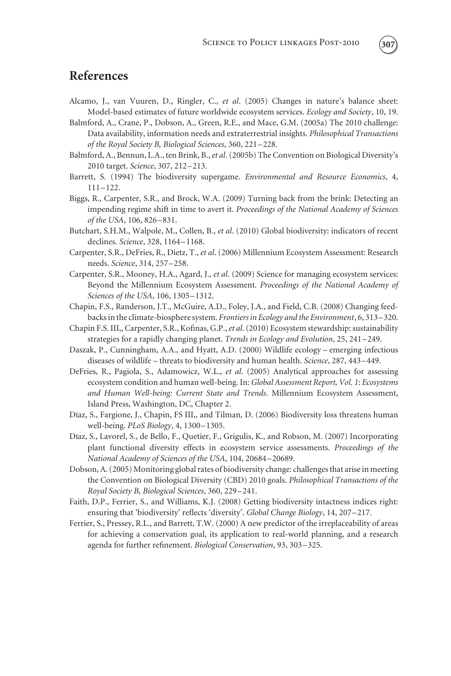

## **References**

- Alcamo, J., van Vuuren, D., Ringler, C., *et al*. (2005) Changes in nature's balance sheet: Model-based estimates of future worldwide ecosystem services. *Ecology and Society*, 10, 19.
- Balmford, A., Crane, P., Dobson, A., Green, R.E., and Mace, G.M. (2005a) The 2010 challenge: Data availability, information needs and extraterrestrial insights. *Philosophical Transactions of the Royal Society B, Biological Sciences*, 360, 221–228.
- Balmford, A., Bennun, L.A., ten Brink, B.,*et al*. (2005b) The Convention on Biological Diversity's 2010 target. *Science*, 307, 212–213.
- Barrett, S. (1994) The biodiversity supergame. *Environmental and Resource Economics*, 4, 111–122.
- Biggs, R., Carpenter, S.R., and Brock, W.A. (2009) Turning back from the brink: Detecting an impending regime shift in time to avert it. *Proceedings of the National Academy of Sciences of the USA*, 106, 826–831.
- Butchart, S.H.M., Walpole, M., Collen, B., *et al*. (2010) Global biodiversity: indicators of recent declines. *Science*, 328, 1164–1168.
- Carpenter, S.R., DeFries, R., Dietz, T., *et al*. (2006) Millennium Ecosystem Assessment: Research needs. *Science*, 314, 257–258.
- Carpenter, S.R., Mooney, H.A., Agard, J., *et al*. (2009) Science for managing ecosystem services: Beyond the Millennium Ecosystem Assessment. *Proceedings of the National Academy of Sciences of the USA*, 106, 1305–1312.
- Chapin, F.S., Randerson, J.T., McGuire, A.D., Foley, J.A., and Field, C.B. (2008) Changing feedbacks in the climate-biosphere system. *Frontiers in Ecology and the Environment*, 6, 313–320.
- Chapin F.S. III,, Carpenter, S.R., Kofinas, G.P.,*et al*. (2010) Ecosystem stewardship: sustainability strategies for a rapidly changing planet. *Trends in Ecology and Evolution*, 25, 241–249.
- Daszak, P., Cunningham, A.A., and Hyatt, A.D. (2000) Wildlife ecology emerging infectious diseases of wildlife – threats to biodiversity and human health. *Science*, 287, 443–449.
- DeFries, R., Pagiola, S., Adamowicz, W.L., *et al*. (2005) Analytical approaches for assessing ecosystem condition and human well-being. In: *Global Assessment Report, Vol. 1*: *Ecosystems and Human Well-being: Current State and Trends*. Millennium Ecosystem Assessment, Island Press, Washington, DC, Chapter 2.
- Díaz, S., Fargione, J., Chapin, FS III,, and Tilman, D. (2006) Biodiversity loss threatens human well-being. *PLoS Biology*, 4, 1300–1305.
- Díaz, S., Lavorel, S., de Bello, F., Quetier, F., Grigulis, K., and Robson, M. (2007) Incorporating plant functional diversity effects in ecosystem service assessments. *Proceedings of the National Academy of Sciences of the USA*, 104, 20684–20689.
- Dobson, A. (2005) Monitoring global rates of biodiversity change: challenges that arise in meeting the Convention on Biological Diversity (CBD) 2010 goals. *Philosophical Transactions of the Royal Society B, Biological Sciences*, 360, 229–241.
- Faith, D.P., Ferrier, S., and Williams, K.J. (2008) Getting biodiversity intactness indices right: ensuring that 'biodiversity' reflects 'diversity'. *Global Change Biology*, 14, 207–217.
- Ferrier, S., Pressey, R.L., and Barrett, T.W. (2000) A new predictor of the irreplaceability of areas for achieving a conservation goal, its application to real-world planning, and a research agenda for further refinement. *Biological Conservation*, 93, 303–325.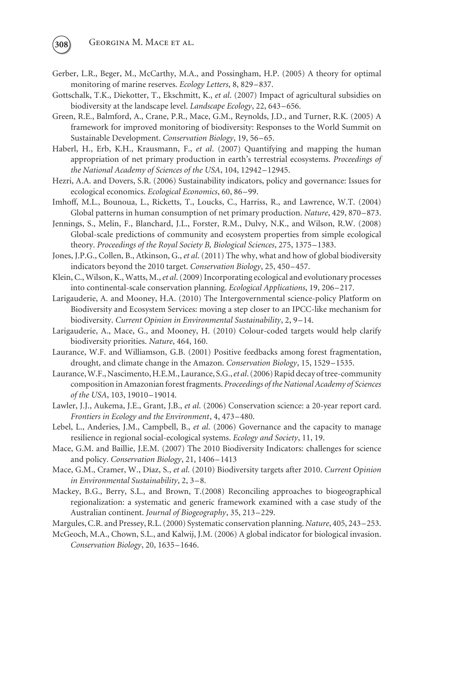

- Gerber, L.R., Beger, M., McCarthy, M.A., and Possingham, H.P. (2005) A theory for optimal monitoring of marine reserves. *Ecology Letters*, 8, 829–837.
- Gottschalk, T.K., Diekotter, T., Ekschmitt, K., *et al*. (2007) Impact of agricultural subsidies on biodiversity at the landscape level. *Landscape Ecology*, 22, 643–656.
- Green, R.E., Balmford, A., Crane, P.R., Mace, G.M., Reynolds, J.D., and Turner, R.K. (2005) A framework for improved monitoring of biodiversity: Responses to the World Summit on Sustainable Development. *Conservation Biology*, 19, 56–65.
- Haberl, H., Erb, K.H., Krausmann, F., *et al*. (2007) Quantifying and mapping the human appropriation of net primary production in earth's terrestrial ecosystems. *Proceedings of the National Academy of Sciences of the USA*, 104, 12942–12945.
- Hezri, A.A. and Dovers, S.R. (2006) Sustainability indicators, policy and governance: Issues for ecological economics. *Ecological Economics*, 60, 86–99.
- Imhoff, M.L., Bounoua, L., Ricketts, T., Loucks, C., Harriss, R., and Lawrence, W.T. (2004) Global patterns in human consumption of net primary production. *Nature*, 429, 870–873.
- Jennings, S., Melin, F., Blanchard, J.L., Forster, R.M., Dulvy, N.K., and Wilson, R.W. (2008) Global-scale predictions of community and ecosystem properties from simple ecological theory. *Proceedings of the Royal Society B, Biological Sciences*, 275, 1375–1383.
- Jones, J.P.G., Collen, B., Atkinson, G., *et al*. (2011) The why, what and how of global biodiversity indicators beyond the 2010 target. *Conservation Biology*, 25, 450–457.
- Klein, C., Wilson, K., Watts, M.,*et al*. (2009) Incorporating ecological and evolutionary processes into continental-scale conservation planning. *Ecological Applications*, 19, 206–217.
- Larigauderie, A. and Mooney, H.A. (2010) The Intergovernmental science-policy Platform on Biodiversity and Ecosystem Services: moving a step closer to an IPCC-like mechanism for biodiversity. *Current Opinion in Environmental Sustainability*, 2, 9–14.
- Larigauderie, A., Mace, G., and Mooney, H. (2010) Colour-coded targets would help clarify biodiversity priorities. *Nature*, 464, 160.
- Laurance, W.F. and Williamson, G.B. (2001) Positive feedbacks among forest fragmentation, drought, and climate change in the Amazon. *Conservation Biology*, 15, 1529–1535.
- Laurance, W.F., Nascimento, H.E.M., Laurance, S.G.,*et al*. (2006) Rapid decay of tree-community composition in Amazonian forest fragments. *Proceedings of the National Academy of Sciences of the USA*, 103, 19010–19014.
- Lawler, J.J., Aukema, J.E., Grant, J.B., *et al*. (2006) Conservation science: a 20-year report card. *Frontiers in Ecology and the Environment*, 4, 473–480.
- Lebel, L., Anderies, J.M., Campbell, B., *et al*. (2006) Governance and the capacity to manage resilience in regional social-ecological systems. *Ecology and Society*, 11, 19.
- Mace, G.M. and Baillie, J.E.M. (2007) The 2010 Biodiversity Indicators: challenges for science and policy. *Conservation Biology*, 21, 1406–1413
- Mace, G.M., Cramer, W., D´ıaz, S., *et al*. (2010) Biodiversity targets after 2010. *Current Opinion in Environmental Sustainability*, 2, 3–8.
- Mackey, B.G., Berry, S.L., and Brown, T.(2008) Reconciling approaches to biogeographical regionalization: a systematic and generic framework examined with a case study of the Australian continent. *Journal of Biogeography*, 35, 213–229.
- Margules, C.R. and Pressey, R.L. (2000) Systematic conservation planning. *Nature*, 405, 243–253.
- McGeoch, M.A., Chown, S.L., and Kalwij, J.M. (2006) A global indicator for biological invasion. *Conservation Biology*, 20, 1635–1646.

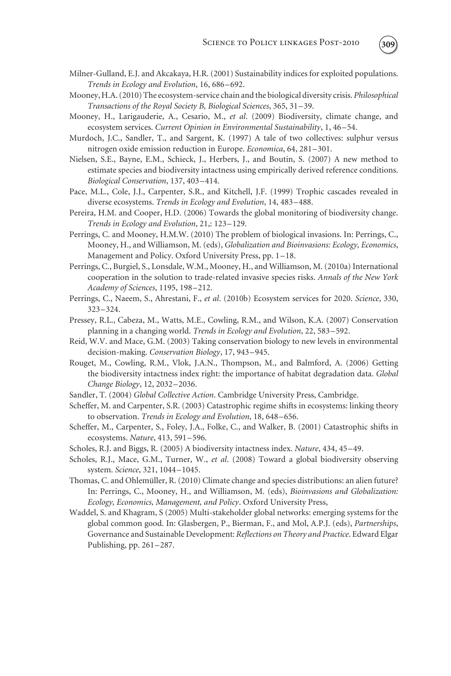

- Milner-Gulland, E.J. and Akcakaya, H.R. (2001) Sustainability indices for exploited populations. *Trends in Ecology and Evolution*, 16, 686–692.
- Mooney, H.A. (2010) The ecosystem-service chain and the biological diversity crisis. *Philosophical Transactions of the Royal Society B, Biological Sciences*, 365, 31–39.
- Mooney, H., Larigauderie, A., Cesario, M., *et al*. (2009) Biodiversity, climate change, and ecosystem services. *Current Opinion in Environmental Sustainability*, 1, 46–54.
- Murdoch, J.C., Sandler, T., and Sargent, K. (1997) A tale of two collectives: sulphur versus nitrogen oxide emission reduction in Europe. *Economica*, 64, 281–301.
- Nielsen, S.E., Bayne, E.M., Schieck, J., Herbers, J., and Boutin, S. (2007) A new method to estimate species and biodiversity intactness using empirically derived reference conditions. *Biological Conservation*, 137, 403–414.
- Pace, M.L., Cole, J.J., Carpenter, S.R., and Kitchell, J.F. (1999) Trophic cascades revealed in diverse ecosystems. *Trends in Ecology and Evolution*, 14, 483–488.
- Pereira, H.M. and Cooper, H.D. (2006) Towards the global monitoring of biodiversity change. *Trends in Ecology and Evolution*, 21,: 123–129.
- Perrings, C. and Mooney, H.M.W. (2010) The problem of biological invasions. In: Perrings, C., Mooney, H., and Williamson, M. (eds), *Globalization and Bioinvasions: Ecology, Economics*, Management and Policy. Oxford University Press, pp. 1–18.
- Perrings, C., Burgiel, S., Lonsdale, W.M., Mooney, H., and Williamson, M. (2010a) International cooperation in the solution to trade-related invasive species risks. *Annals of the New York Academy of Sciences*, 1195, 198–212.
- Perrings, C., Naeem, S., Ahrestani, F., *et al*. (2010b) Ecosystem services for 2020. *Science*, 330, 323–324.
- Pressey, R.L., Cabeza, M., Watts, M.E., Cowling, R.M., and Wilson, K.A. (2007) Conservation planning in a changing world. *Trends in Ecology and Evolution*, 22, 583–592.
- Reid, W.V. and Mace, G.M. (2003) Taking conservation biology to new levels in environmental decision-making. *Conservation Biology*, 17, 943–945.
- Rouget, M., Cowling, R.M., Vlok, J.A.N., Thompson, M., and Balmford, A. (2006) Getting the biodiversity intactness index right: the importance of habitat degradation data. *Global Change Biology*, 12, 2032–2036.
- Sandler, T. (2004) *Global Collective Action*. Cambridge University Press, Cambridge.
- Scheffer, M. and Carpenter, S.R. (2003) Catastrophic regime shifts in ecosystems: linking theory to observation. *Trends in Ecology and Evolution*, 18, 648–656.
- Scheffer, M., Carpenter, S., Foley, J.A., Folke, C., and Walker, B. (2001) Catastrophic shifts in ecosystems. *Nature*, 413, 591–596.
- Scholes, R.J. and Biggs, R. (2005) A biodiversity intactness index. *Nature*, 434, 45–49.
- Scholes, R.J., Mace, G.M., Turner, W., *et al*. (2008) Toward a global biodiversity observing system. *Science*, 321, 1044–1045.
- Thomas, C. and Ohlemüller, R. (2010) Climate change and species distributions: an alien future? In: Perrings, C., Mooney, H., and Williamson, M. (eds), *Bioinvasions and Globalization: Ecology, Economics, Management, and Policy*. Oxford University Press,
- Waddel, S. and Khagram, S (2005) Multi-stakeholder global networks: emerging systems for the global common good. In: Glasbergen, P., Bierman, F., and Mol, A.P.J. (eds), *Partnerships*, Governance and Sustainable Development: *Reflections on Theory and Practice*. Edward Elgar Publishing, pp. 261–287.